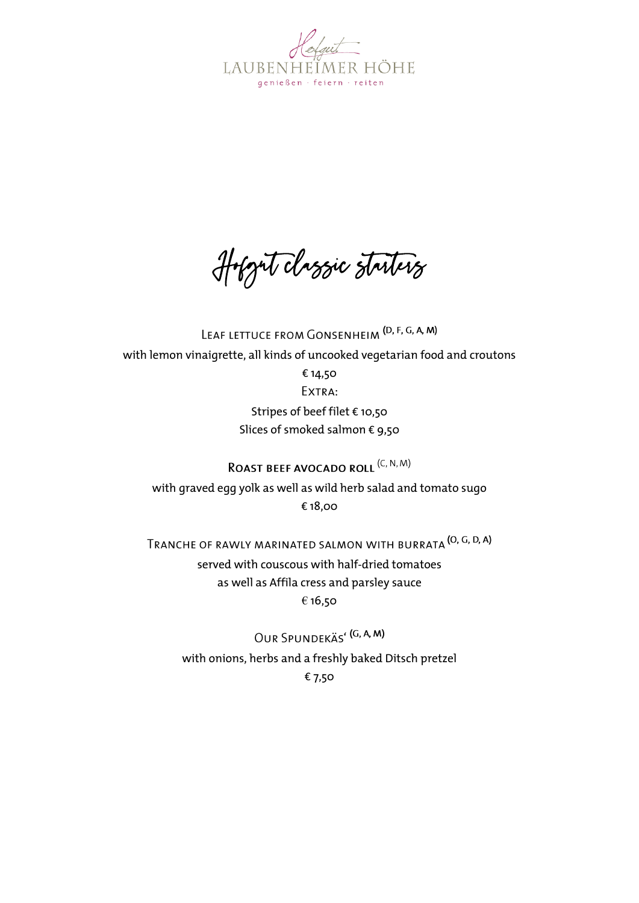

Hofgut classic starters

LEAF LETTUCE FROM GONSENHEIM (D, F, G, A, M) with lemon vinaigrette, all kinds of uncooked vegetarian food and croutons € 14,50 EXTRA: Stripes of beef filet € 10,50 Slices of smoked salmon € 9,50 ROAST BEEF AVOCADO ROLL<sup>(C, N, M)</sup>

with graved egg yolk as well as wild herb salad and tomato sugo € 18,00

TRANCHE OF RAWLY MARINATED SALMON WITH BURRATA (O, G, D, A) served with couscous with half-dried tomatoes as well as Affila cress and parsley sauce € 16,50

OUR SPUNDEKÄS<sup>'</sup> (G, A, M) with onions, herbs and a freshly baked Ditsch pretzel € 7,50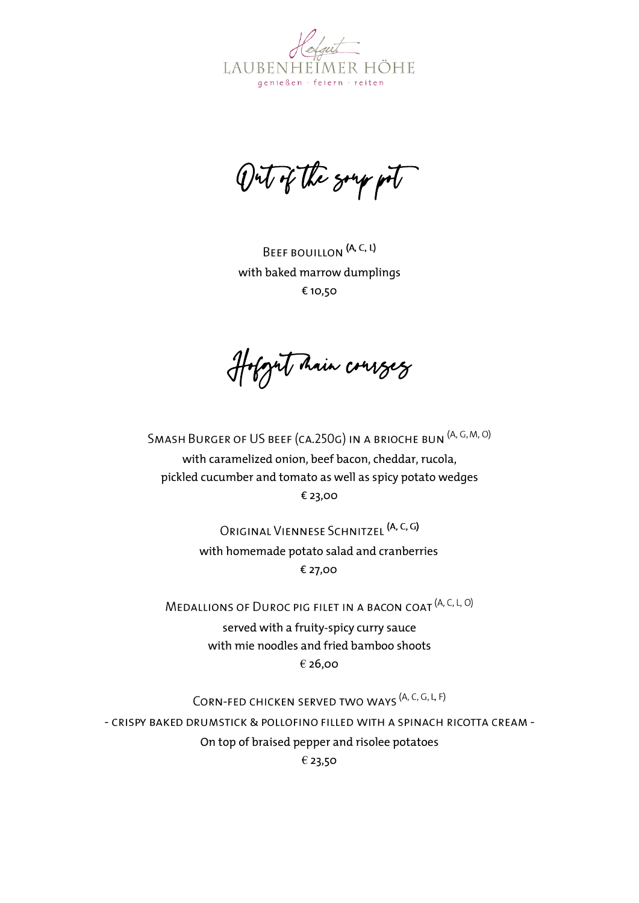

Out of the soup pot

BEEF BOUILLON (A, C, L) with baked marrow dumplings € 10,50

Hofgut hain courses

SMASH BURGER OF US BEEF (CA.250G) IN A BRIOCHE BUN (A, G, M, O) with caramelized onion, beef bacon, cheddar, rucola, pickled cucumber and tomato as well as spicy potato wedges € 23,00

> ORIGINAL VIENNESE SCHNITZEL (A, C, G) with homemade potato salad and cranberries € 27,00

MEDALLIONS OF DUROC PIG FILET IN A BACON COAT (A, C, L, O)

served with a fruity-spicy curry sauce with mie noodles and fried bamboo shoots € 26,00

CORN-FED CHICKEN SERVED TWO WAYS <sup>(A, C, G, L, F)</sup>

- CRISPY BAKED DRUMSTICK & POLLOFINO FILLED WITH A SPINACH RICOTTA CREAM -On top of braised pepper and risolee potatoes

€ 23,50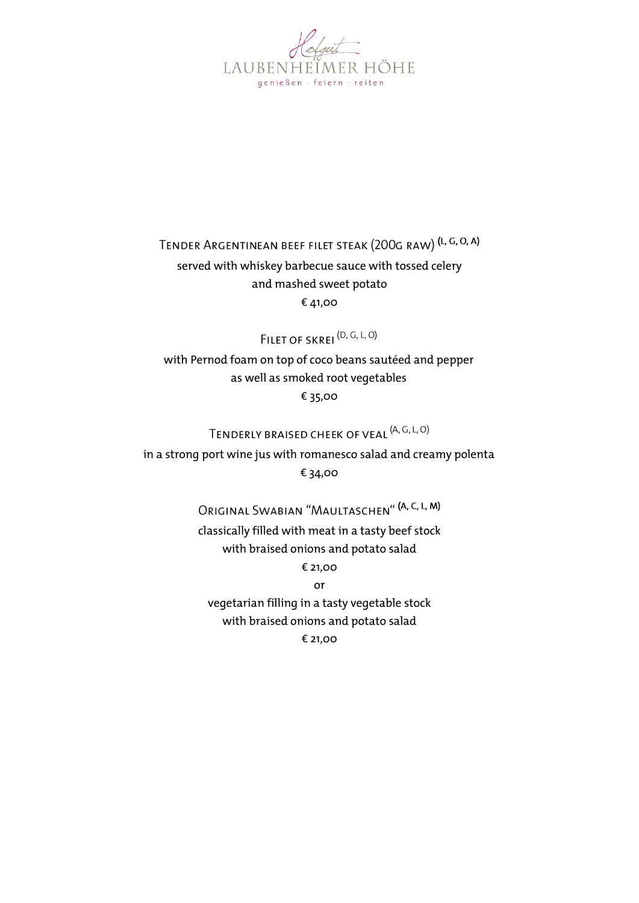

## TENDER ARGENTINEAN BEEF FILET STEAK (200G RAW) (L, G, O, A)

## served with whiskey barbecue sauce with tossed celery and mashed sweet potato € 41,00

FILET OF SKREI<sup>(D, G, L, O)</sup>

with Pernod foam on top of coco beans sautéed and pepper as well as smoked root vegetables € 35,00

## TENDERLY BRAISED CHEEK OF VEAL <sup>(A, G, L, O)</sup>

in a strong port wine jus with romanesco salad and creamy polenta € 34,00

ORIGINAL SWABIAN "MAULTASCHEN" (A, C, L, M)

classically filled with meat in a tasty beef stock with braised onions and potato salad € 21,00

or

vegetarian filling in a tasty vegetable stock with braised onions and potato salad € 21,00